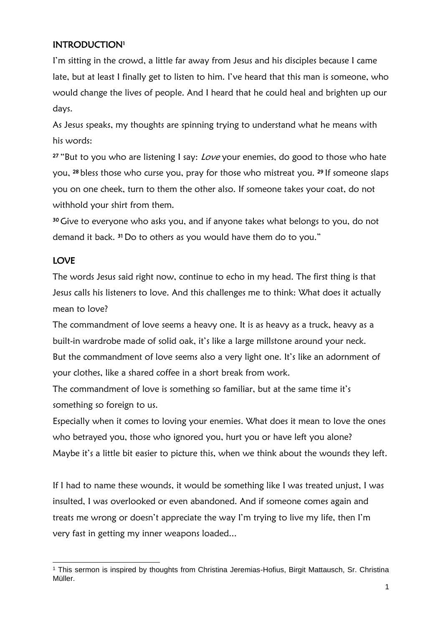# INTRODUCTION<sup>1</sup>

I'm sitting in the crowd, a little far away from Jesus and his disciples because I came late, but at least I finally get to listen to him. I've heard that this man is someone, who would change the lives of people. And I heard that he could heal and brighten up our days.

As Jesus speaks, my thoughts are spinning trying to understand what he means with his words:

<sup>27</sup> "But to you who are listening I say: *Love* your enemies, do good to those who hate you, <sup>28</sup> bless those who curse you, pray for those who mistreat you. <sup>29</sup> If someone slaps you on one cheek, turn to them the other also. If someone takes your coat, do not withhold your shirt from them.

<sup>30</sup> Give to everyone who asks you, and if anyone takes what belongs to you, do not demand it back.<sup>31</sup> Do to others as you would have them do to you."

## LOVE

The words Jesus said right now, continue to echo in my head. The first thing is that Jesus calls his listeners to love. And this challenges me to think: What does it actually mean to love?

The commandment of love seems a heavy one. It is as heavy as a truck, heavy as a built-in wardrobe made of solid oak, it's like a large millstone around your neck. But the commandment of love seems also a very light one. It's like an adornment of your clothes, like a shared coffee in a short break from work.

The commandment of love is something so familiar, but at the same time it's something so foreign to us.

Especially when it comes to loving your enemies. What does it mean to love the ones who betrayed you, those who ignored you, hurt you or have left you alone? Maybe it's a little bit easier to picture this, when we think about the wounds they left.

If I had to name these wounds, it would be something like I was treated unjust, I was insulted, I was overlooked or even abandoned. And if someone comes again and treats me wrong or doesn't appreciate the way I'm trying to live my life, then I'm very fast in getting my inner weapons loaded...

<sup>&</sup>lt;sup>1</sup> This sermon is inspired by thoughts from Christina Jeremias-Hofius, Birgit Mattausch, Sr. Christina Müller.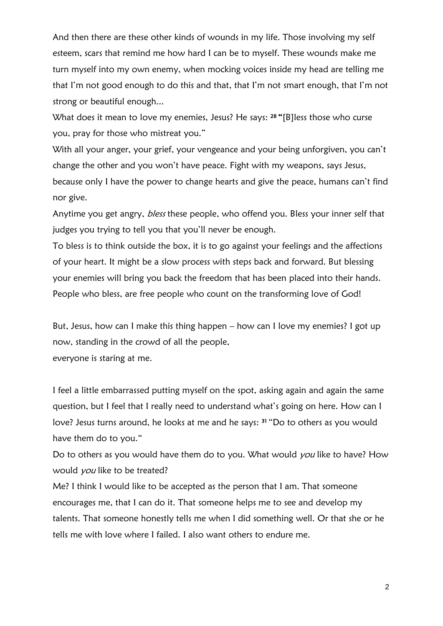And then there are these other kinds of wounds in my life. Those involving my self esteem, scars that remind me how hard I can be to myself. These wounds make me turn myself into my own enemy, when mocking voices inside my head are telling me that I'm not good enough to do this and that, that I'm not smart enough, that I'm not strong or beautiful enough...

What does it mean to love my enemies, Jesus? He says: <sup>28</sup> "[B]less those who curse you, pray for those who mistreat you."

With all your anger, your grief, your vengeance and your being unforgiven, you can't change the other and you won't have peace. Fight with my weapons, says Jesus, because only I have the power to change hearts and give the peace, humans can't find nor give.

Anytime you get angry, *bless* these people, who offend you. Bless your inner self that judges you trying to tell you that you'll never be enough.

To bless is to think outside the box, it is to go against your feelings and the affections of your heart. It might be a slow process with steps back and forward. But blessing your enemies will bring you back the freedom that has been placed into their hands. People who bless, are free people who count on the transforming love of God!

But, Jesus, how can I make this thing happen – how can I love my enemies? I got up now, standing in the crowd of all the people, everyone is staring at me.

I feel a little embarrassed putting myself on the spot, asking again and again the same question, but I feel that I really need to understand what's going on here. How can I love? Jesus turns around, he looks at me and he says: <sup>31</sup> "Do to others as you would have them do to you."

Do to others as you would have them do to you. What would you like to have? How would *you* like to be treated?

Me? I think I would like to be accepted as the person that I am. That someone encourages me, that I can do it. That someone helps me to see and develop my talents. That someone honestly tells me when I did something well. Or that she or he tells me with love where I failed. I also want others to endure me.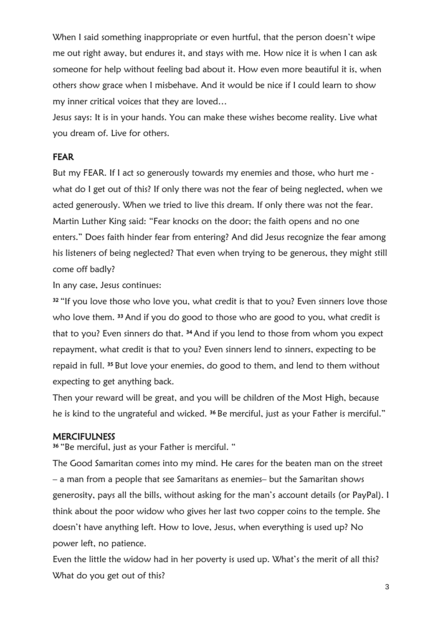When I said something inappropriate or even hurtful, that the person doesn't wipe me out right away, but endures it, and stays with me. How nice it is when I can ask someone for help without feeling bad about it. How even more beautiful it is, when others show grace when I misbehave. And it would be nice if I could learn to show my inner critical voices that they are loved…

Jesus says: It is in your hands. You can make these wishes become reality. Live what you dream of. Live for others.

### FEAR

But my FEAR. If I act so generously towards my enemies and those, who hurt me what do I get out of this? If only there was not the fear of being neglected, when we acted generously. When we tried to live this dream. If only there was not the fear. Martin Luther King said: "Fear knocks on the door; the faith opens and no one enters." Does faith hinder fear from entering? And did Jesus recognize the fear among his listeners of being neglected? That even when trying to be generous, they might still come off badly?

In any case, Jesus continues:

<sup>32</sup> "If you love those who love you, what credit is that to you? Even sinners love those who love them. <sup>33</sup> And if you do good to those who are good to you, what credit is that to you? Even sinners do that. <sup>34</sup> And if you lend to those from whom you expect repayment, what credit is that to you? Even sinners lend to sinners, expecting to be repaid in full. <sup>35</sup> But love your enemies, do good to them, and lend to them without expecting to get anything back.

Then your reward will be great, and you will be children of the Most High, because he is kind to the ungrateful and wicked. <sup>36</sup> Be merciful, just as your Father is merciful."

### **MERCIFULNESS**

<sup>36</sup>"Be merciful, just as your Father is merciful. "

The Good Samaritan comes into my mind. He cares for the beaten man on the street – a man from a people that see Samaritans as enemies– but the Samaritan shows generosity, pays all the bills, without asking for the man's account details (or PayPal). I think about the poor widow who gives her last two copper coins to the temple. She doesn't have anything left. How to love, Jesus, when everything is used up? No power left, no patience.

Even the little the widow had in her poverty is used up. What's the merit of all this? What do you get out of this?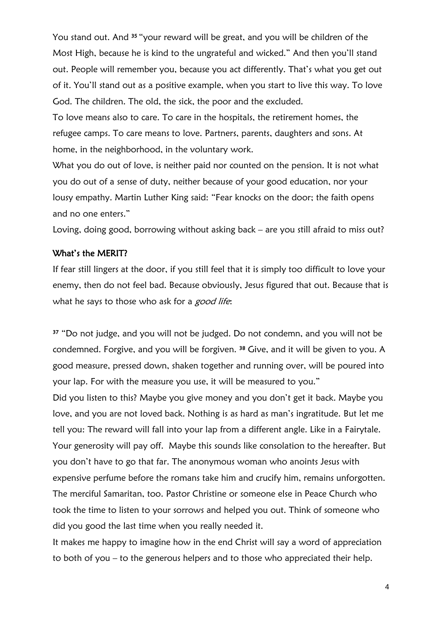You stand out. And <sup>35</sup> "your reward will be great, and you will be children of the Most High, because he is kind to the ungrateful and wicked." And then you'll stand out. People will remember you, because you act differently. That's what you get out of it. You'll stand out as a positive example, when you start to live this way. To love God. The children. The old, the sick, the poor and the excluded.

To love means also to care. To care in the hospitals, the retirement homes, the refugee camps. To care means to love. Partners, parents, daughters and sons. At home, in the neighborhood, in the voluntary work.

What you do out of love, is neither paid nor counted on the pension. It is not what you do out of a sense of duty, neither because of your good education, nor your lousy empathy. Martin Luther King said: "Fear knocks on the door; the faith opens and no one enters."

Loving, doing good, borrowing without asking back – are you still afraid to miss out?

#### What's the MERIT?

If fear still lingers at the door, if you still feel that it is simply too difficult to love your enemy, then do not feel bad. Because obviously, Jesus figured that out. Because that is what he says to those who ask for a good life:

<sup>37</sup> "Do not judge, and you will not be judged. Do not condemn, and you will not be condemned. Forgive, and you will be forgiven. <sup>38</sup> Give, and it will be given to you. A good measure, pressed down, shaken together and running over, will be poured into your lap. For with the measure you use, it will be measured to you." Did you listen to this? Maybe you give money and you don't get it back. Maybe you love, and you are not loved back. Nothing is as hard as man's ingratitude. But let me tell you: The reward will fall into your lap from a different angle. Like in a Fairytale. Your generosity will pay off. Maybe this sounds like consolation to the hereafter. But you don't have to go that far. The anonymous woman who anoints Jesus with expensive perfume before the romans take him and crucify him, remains unforgotten. The merciful Samaritan, too. Pastor Christine or someone else in Peace Church who took the time to listen to your sorrows and helped you out. Think of someone who did you good the last time when you really needed it.

It makes me happy to imagine how in the end Christ will say a word of appreciation to both of you – to the generous helpers and to those who appreciated their help.